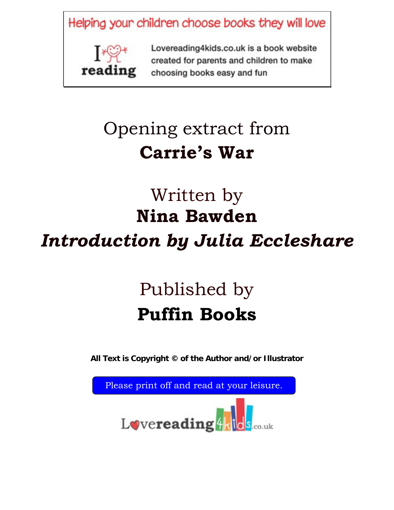Helping your children choose books they will love



Lovereading4kids.co.uk is a book website created for parents and children to make **Exercise** Choosing books easy and fun

## Opening extract from **Carrie's War**

## Written by **Nina Bawden**  *Introduction by Julia Eccleshare*

# Published by **Puffin Books**

**All Text is Copyright © of the Author and/or Illustrator** 

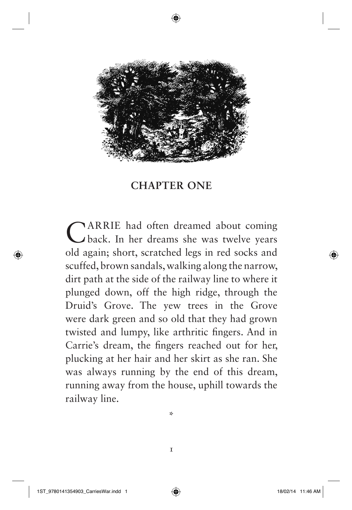

### **CHAPTER ONE**

CARRIE had often dreamed about coming back. In her dreams she was twelve years old again; short, scratched legs in red socks and scuffed, brown sandals, walking along the narrow, dirt path at the side of the railway line to where it plunged down, off the high ridge, through the Druid's Grove. The yew trees in the Grove were dark green and so old that they had grown twisted and lumpy, like arthritic fingers. And in Carrie's dream, the fingers reached out for her, plucking at her hair and her skirt as she ran. She was always running by the end of this dream, running away from the house, uphill towards the railway line.

\*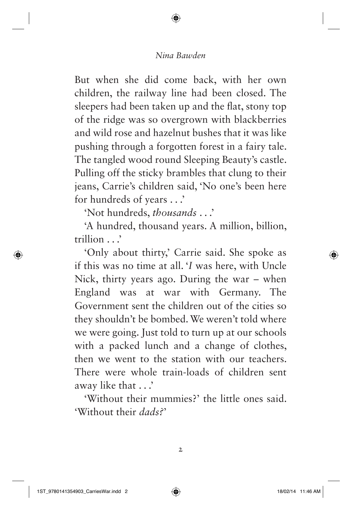But when she did come back, with her own children, the railway line had been closed. The sleepers had been taken up and the flat, stony top of the ridge was so overgrown with blackberries and wild rose and hazelnut bushes that it was like pushing through a forgotten forest in a fairy tale. The tangled wood round Sleeping Beauty's castle. Pulling off the sticky brambles that clung to their jeans, Carrie's children said, 'No one's been here for hundreds of years . . .'

'Not hundreds, *thousands* . . .'

'A hundred, thousand years. A million, billion, trillion . . .'

'Only about thirty,' Carrie said. She spoke as if this was no time at all. '*I* was here, with Uncle Nick, thirty years ago. During the war  $-$  when England was at war with Germany. The Government sent the children out of the cities so they shouldn't be bombed. We weren't told where we were going. Just told to turn up at our schools with a packed lunch and a change of clothes, then we went to the station with our teachers. There were whole train-loads of children sent away like that . . .'

'Without their mummies?' the little ones said. 'Without their *dads?*'

2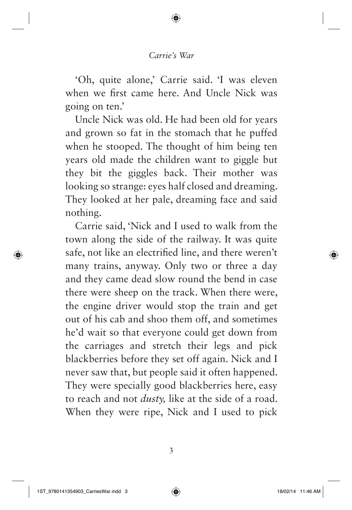'Oh, quite alone,' Carrie said. 'I was eleven when we first came here. And Uncle Nick was going on ten.'

Uncle Nick was old. He had been old for years and grown so fat in the stomach that he puffed when he stooped. The thought of him being ten years old made the children want to giggle but they bit the giggles back. Their mother was looking so strange: eyes half closed and dreaming. They looked at her pale, dreaming face and said nothing.

Carrie said, 'Nick and I used to walk from the town along the side of the railway. It was quite safe, not like an electrified line, and there weren't many trains, anyway. Only two or three a day and they came dead slow round the bend in case there were sheep on the track. When there were, the engine driver would stop the train and get out of his cab and shoo them off, and sometimes he'd wait so that everyone could get down from the carriages and stretch their legs and pick blackberries before they set off again. Nick and I never saw that, but people said it often happened. They were specially good blackberries here, easy to reach and not *dusty,* like at the side of a road. When they were ripe, Nick and I used to pick

3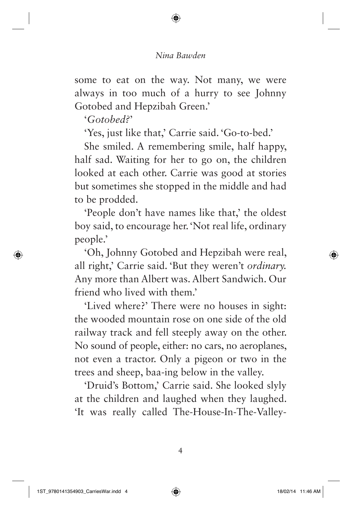some to eat on the way. Not many, we were always in too much of a hurry to see Johnny Gotobed and Hepzibah Green.'

' *Gotobed?*'

'Yes, just like that,' Carrie said. 'Go-to-bed.'

She smiled. A remembering smile, half happy, half sad. Waiting for her to go on, the children looked at each other. Carrie was good at stories but sometimes she stopped in the middle and had to be prodded.

'People don't have names like that,' the oldest boy said, to encourage her. 'Not real life, ordinary people.'

'Oh, Johnny Gotobed and Hepzibah were real, all right,' Carrie said. 'But they weren't *ordinary.* Any more than Albert was. Albert Sandwich. Our friend who lived with them.'

'Lived where?' There were no houses in sight: the wooded mountain rose on one side of the old railway track and fell steeply away on the other. No sound of people, either: no cars, no aeroplanes, not even a tractor. Only a pigeon or two in the trees and sheep, baa-ing below in the valley.

'Druid's Bottom,' Carrie said. She looked slyly at the children and laughed when they laughed. 'It was really called The-House-In-The-Valley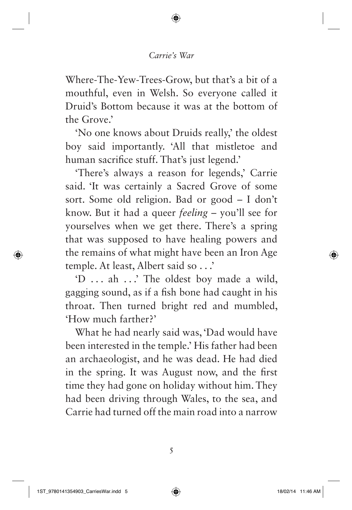Where-The-Yew-Trees-Grow, but that's a bit of a mouthful, even in Welsh. So everyone called it Druid's Bottom because it was at the bottom of the Grove<sup>'</sup>

'No one knows about Druids really,' the oldest boy said importantly. 'All that mistletoe and human sacrifice stuff. That's just legend.'

'There's always a reason for legends,' Carrie said. 'It was certainly a Sacred Grove of some sort. Some old religion. Bad or good - I don't know. But it had a queer *feeling* – you'll see for yourselves when we get there. There's a spring that was supposed to have healing powers and the remains of what might have been an Iron Age temple. At least, Albert said so . . .'

'D . . . ah . . .' The oldest boy made a wild, gagging sound, as if a fish bone had caught in his throat. Then turned bright red and mumbled, 'How much farther?'

What he had nearly said was, 'Dad would have been interested in the temple.' His father had been an archaeologist, and he was dead. He had died in the spring. It was August now, and the first time they had gone on holiday without him. They had been driving through Wales, to the sea, and Carrie had turned off the main road into a narrow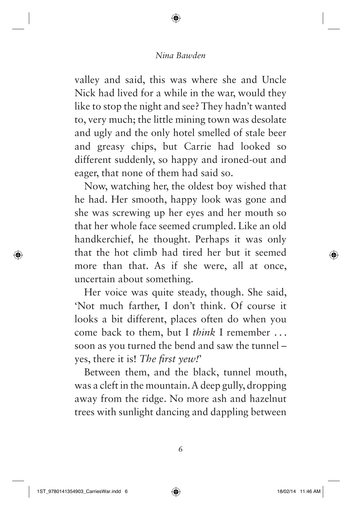valley and said, this was where she and Uncle Nick had lived for a while in the war, would they like to stop the night and see? They hadn't wanted to, very much; the little mining town was desolate and ugly and the only hotel smelled of stale beer and greasy chips, but Carrie had looked so different suddenly, so happy and ironed-out and eager, that none of them had said so.

Now, watching her, the oldest boy wished that he had. Her smooth, happy look was gone and she was screwing up her eyes and her mouth so that her whole face seemed crumpled. Like an old handkerchief, he thought. Perhaps it was only that the hot climb had tired her but it seemed more than that. As if she were, all at once, uncertain about something.

Her voice was quite steady, though. She said, 'Not much farther, I don't think. Of course it looks a bit different, places often do when you come back to them, but I *think* I remember . . . soon as you turned the bend and saw the tunnel – yes, there it is! *The first yew!*'

Between them, and the black, tunnel mouth, was a cleft in the mountain. A deep gully, dropping away from the ridge. No more ash and hazelnut trees with sunlight dancing and dappling between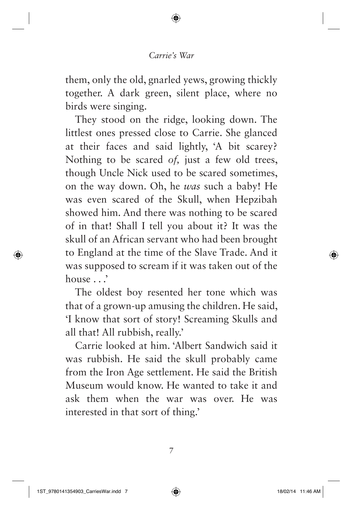them, only the old, gnarled yews, growing thickly together. A dark green, silent place, where no birds were singing.

They stood on the ridge, looking down. The littlest ones pressed close to Carrie. She glanced at their faces and said lightly, 'A bit scarey? Nothing to be scared *of,* just a few old trees, though Uncle Nick used to be scared sometimes, on the way down. Oh, he *was* such a baby! He was even scared of the Skull, when Hepzibah showed him. And there was nothing to be scared of in that! Shall I tell you about it? It was the skull of an African servant who had been brought to England at the time of the Slave Trade. And it was supposed to scream if it was taken out of the house . . .'

The oldest boy resented her tone which was that of a grown-up amusing the children. He said, 'I know that sort of story! Screaming Skulls and all that! All rubbish, really.'

Carrie looked at him. 'Albert Sandwich said it was rubbish. He said the skull probably came from the Iron Age settlement. He said the British Museum would know. He wanted to take it and ask them when the war was over. He was interested in that sort of thing.'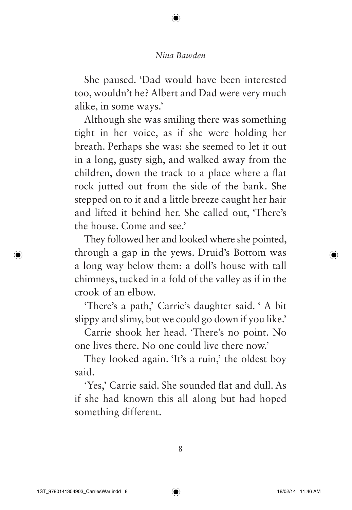She paused. 'Dad would have been interested too, wouldn't he? Albert and Dad were very much alike, in some ways.'

Although she was smiling there was something tight in her voice, as if she were holding her breath. Perhaps she was: she seemed to let it out in a long, gusty sigh, and walked away from the children, down the track to a place where a flat rock jutted out from the side of the bank. She stepped on to it and a little breeze caught her hair and lifted it behind her. She called out, 'There's the house. Come and see.'

They followed her and looked where she pointed, through a gap in the yews. Druid's Bottom was a long way below them: a doll's house with tall chimneys, tucked in a fold of the valley as if in the crook of an elbow.

'There's a path,' Carrie's daughter said. ' A bit slippy and slimy, but we could go down if you like.'

Carrie shook her head. 'There's no point. No one lives there. No one could live there now.'

They looked again. 'It's a ruin,' the oldest boy said.

'Yes,' Carrie said. She sounded flat and dull. As if she had known this all along but had hoped something different.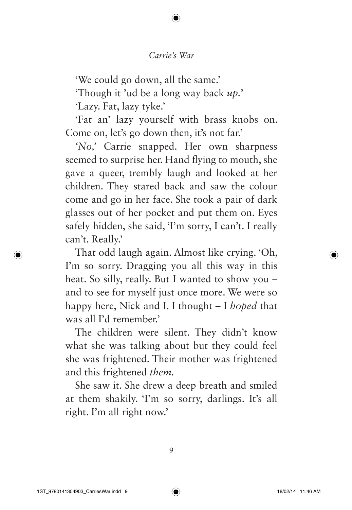'We could go down, all the same.'

'Though it 'ud be a long way back *up.*'

'Lazy. Fat, lazy tyke.'

'Fat an' lazy yourself with brass knobs on. Come on, let's go down then, it's not far.'

*'No,'* Carrie snapped. Her own sharpness seemed to surprise her. Hand flying to mouth, she gave a queer, trembly laugh and looked at her children. They stared back and saw the colour come and go in her face. She took a pair of dark glasses out of her pocket and put them on. Eyes safely hidden, she said, 'I'm sorry, I can't. I really can't. Really.'

That odd laugh again. Almost like crying. 'Oh, I'm so sorry. Dragging you all this way in this heat. So silly, really. But I wanted to show you – and to see for myself just once more. We were so happy here, Nick and I. I thought – I *hoped* that was all I'd remember.'

The children were silent. They didn't know what she was talking about but they could feel she was frightened. Their mother was frightened and this frightened *them.*

She saw it. She drew a deep breath and smiled at them shakily. 'I'm so sorry, darlings. It's all right. I'm all right now.'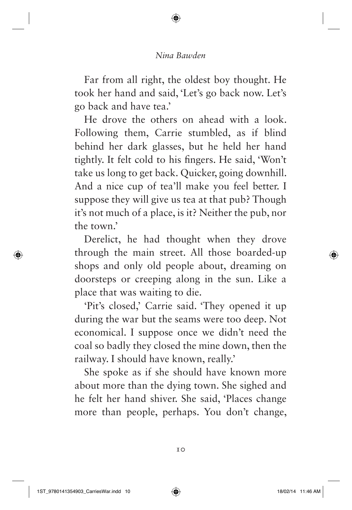Far from all right, the oldest boy thought. He took her hand and said, 'Let's go back now. Let's go back and have tea.'

He drove the others on ahead with a look. Following them, Carrie stumbled, as if blind behind her dark glasses, but he held her hand tightly. It felt cold to his fingers. He said, 'Won't take us long to get back. Quicker, going downhill. And a nice cup of tea'll make you feel better. I suppose they will give us tea at that pub? Though it's not much of a place, is it? Neither the pub, nor the town.'

Derelict, he had thought when they drove through the main street. All those boarded-up shops and only old people about, dreaming on doorsteps or creeping along in the sun. Like a place that was waiting to die.

'Pit's closed,' Carrie said. 'They opened it up during the war but the seams were too deep. Not economical. I suppose once we didn't need the coal so badly they closed the mine down, then the railway. I should have known, really.'

She spoke as if she should have known more about more than the dying town. She sighed and he felt her hand shiver. She said, 'Places change more than people, perhaps. You don't change,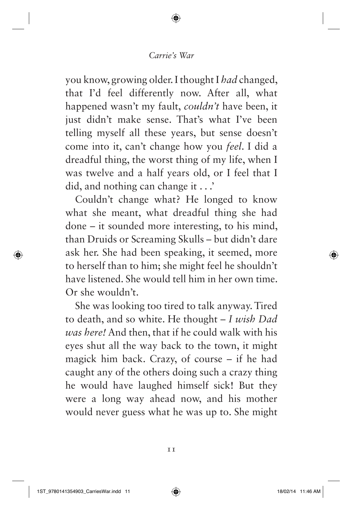you know, growing older. I thought I *had* changed, that I'd feel differently now. After all, what happened wasn't my fault, *couldn't* have been, it just didn't make sense. That's what I've been telling myself all these years, but sense doesn't come into it, can't change how you *feel*. I did a dreadful thing, the worst thing of my life, when I was twelve and a half years old, or I feel that I did, and nothing can change it . . .'

Couldn't change what? He longed to know what she meant, what dreadful thing she had done – it sounded more interesting, to his mind, than Druids or Screaming Skulls – but didn't dare ask her. She had been speaking, it seemed, more to herself than to him; she might feel he shouldn't have listened. She would tell him in her own time. Or she wouldn't.

She was looking too tired to talk anyway. Tired to death, and so white. He thought – *I wish Dad was here!* And then, that if he could walk with his eyes shut all the way back to the town, it might magick him back. Crazy, of course – if he had caught any of the others doing such a crazy thing he would have laughed himself sick! But they were a long way ahead now, and his mother would never guess what he was up to. She might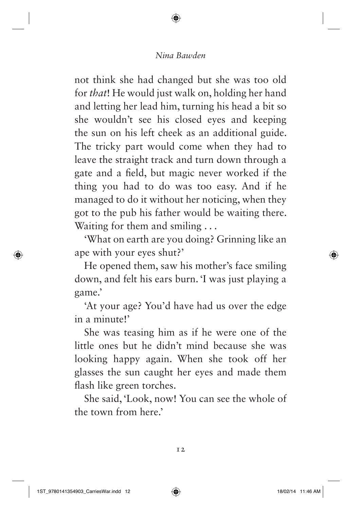not think she had changed but she was too old for *that*! He would just walk on, holding her hand and letting her lead him, turning his head a bit so she wouldn't see his closed eyes and keeping the sun on his left cheek as an additional guide. The tricky part would come when they had to leave the straight track and turn down through a gate and a field, but magic never worked if the thing you had to do was too easy. And if he managed to do it without her noticing, when they got to the pub his father would be waiting there. Waiting for them and smiling ...

'What on earth are you doing? Grinning like an ape with your eyes shut?'

He opened them, saw his mother's face smiling down, and felt his ears burn. 'I was just playing a game.'

'At your age? You'd have had us over the edge in a minute!'

She was teasing him as if he were one of the little ones but he didn't mind because she was looking happy again. When she took off her glasses the sun caught her eyes and made them flash like green torches.

She said, 'Look, now! You can see the whole of the town from here.'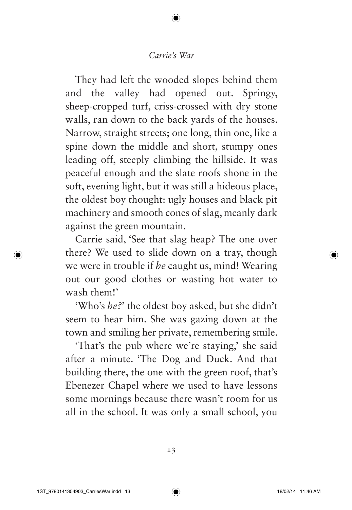They had left the wooded slopes behind them and the valley had opened out. Springy, sheep-cropped turf, criss-crossed with dry stone walls, ran down to the back yards of the houses. Narrow, straight streets; one long, thin one, like a spine down the middle and short, stumpy ones leading off, steeply climbing the hillside. It was peaceful enough and the slate roofs shone in the soft, evening light, but it was still a hideous place, the oldest boy thought: ugly houses and black pit machinery and smooth cones of slag, meanly dark against the green mountain.

Carrie said, 'See that slag heap? The one over there? We used to slide down on a tray, though we were in trouble if *he* caught us, mind! Wearing out our good clothes or wasting hot water to wash them!'

'Who's *he?*' the oldest boy asked, but she didn't seem to hear him. She was gazing down at the town and smiling her private, remembering smile.

'That's the pub where we're staying,' she said after a minute. 'The Dog and Duck. And that building there, the one with the green roof, that's Ebenezer Chapel where we used to have lessons some mornings because there wasn't room for us all in the school. It was only a small school, you